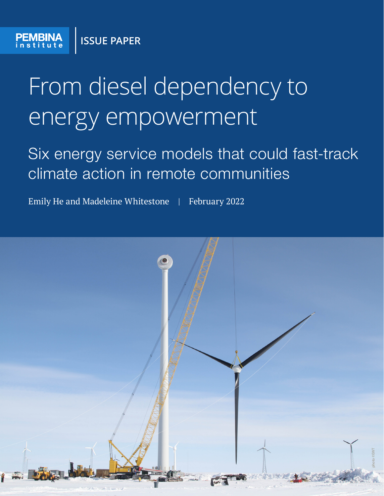# From diesel dependency to energy empowerment

Six energy service models that could fast-track climate action in remote communities

Emily He and Madeleine Whitestone | February 2022

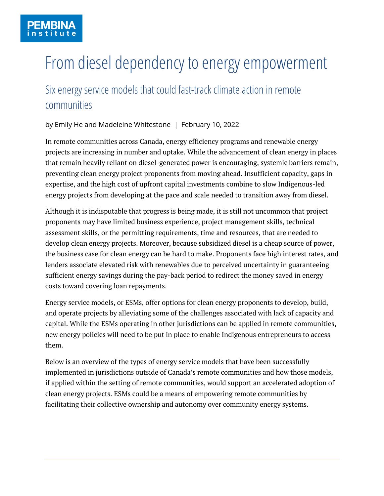# From diesel dependency to energy empowerment

# Six energy service models that could fast-track climate action in remote communities

by Emily He and Madeleine Whitestone | February 10, 2022

In remote communities across Canada, energy efficiency programs and renewable energy projects are increasing in number and uptake. While the advancement of clean energy in places that remain heavily reliant on diesel-generated power is encouraging, systemic barriers remain, preventing clean energy project proponents from moving ahead. Insufficient capacity, gaps in expertise, and the high cost of upfront capital investments combine to slow Indigenous-led energy projects from developing at the pace and scale needed to transition away from diesel.

Although it is indisputable that progress is being made, it is still not uncommon that project proponents may have limited business experience, project management skills, technical assessment skills, or the permitting requirements, time and resources, that are needed to develop clean energy projects. Moreover, because subsidized diesel is a cheap source of power, the business case for clean energy can be hard to make. Proponents face high interest rates, and lenders associate elevated risk with renewables due to perceived uncertainty in guaranteeing sufficient energy savings during the pay-back period to redirect the money saved in energy costs toward covering loan repayments.

Energy service models, or ESMs, offer options for clean energy proponents to develop, build, and operate projects by alleviating some of the challenges associated with lack of capacity and capital. While the ESMs operating in other jurisdictions can be applied in remote communities, new energy policies will need to be put in place to enable Indigenous entrepreneurs to access them.

Below is an overview of the types of energy service models that have been successfully implemented in jurisdictions outside of Canada's remote communities and how those models, if applied within the setting of remote communities, would support an accelerated adoption of clean energy projects. ESMs could be a means of empowering remote communities by facilitating their collective ownership and autonomy over community energy systems.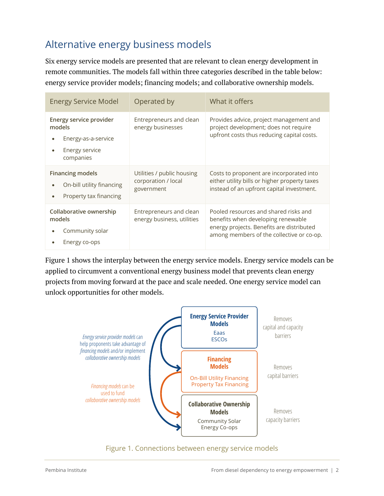# Alternative energy business models

Six energy service models are presented that are relevant to clean energy development in remote communities. The models fall within three categories described in the table below: energy service provider models; financing models; and collaborative ownership models.

| <b>Energy Service Model</b>                                                             | Operated by                                                     | What it offers                                                                                                                                                        |
|-----------------------------------------------------------------------------------------|-----------------------------------------------------------------|-----------------------------------------------------------------------------------------------------------------------------------------------------------------------|
| Energy service provider<br>models<br>Energy-as-a-service<br>Energy service<br>companies | Entrepreneurs and clean<br>energy businesses                    | Provides advice, project management and<br>project development; does not require<br>upfront costs thus reducing capital costs.                                        |
| <b>Financing models</b><br>On-bill utility financing<br>Property tax financing          | Utilities / public housing<br>corporation / local<br>government | Costs to proponent are incorporated into<br>either utility bills or higher property taxes<br>instead of an upfront capital investment.                                |
| Collaborative ownership<br>models<br>Community solar<br>Energy co-ops                   | Entrepreneurs and clean<br>energy business, utilities           | Pooled resources and shared risks and<br>benefits when developing renewable<br>energy projects. Benefits are distributed<br>among members of the collective or co-op. |

Figure 1 shows the interplay between the energy service models. Energy service models can be applied to circumvent a conventional energy business model that prevents clean energy projects from moving forward at the pace and scale needed. One energy service model can unlock opportunities for other models.



#### Figure 1. Connections between energy service models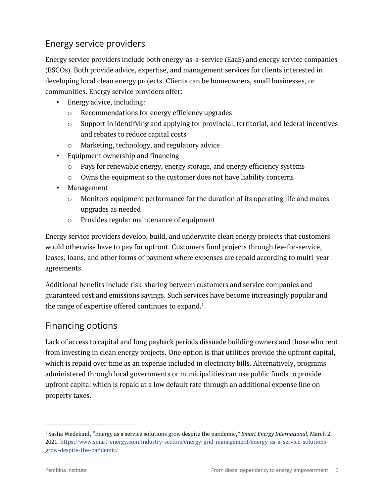#### Energy service providers

Energy service providers include both energy-as-a-service (EaaS) and energy service companies (ESCOs). Both provide advice, expertise, and management services for clients interested in developing local clean energy projects. Clients can be homeowners, small businesses, or communities. Energy service providers offer:

- Energy advice, including:
	- o Recommendations for energy efficiency upgrades
	- o Support in identifying and applying for provincial, territorial, and federal incentives and rebates to reduce capital costs
	- o Marketing, technology, and regulatory advice
- Equipment ownership and financing
	- o Pays for renewable energy, energy storage, and energy efficiency systems
	- o Owns the equipment so the customer does not have liability concerns
- Management
	- o Monitors equipment performance for the duration of its operating life and makes upgrades as needed
	- o Provides regular maintenance of equipment

Energy service providers develop, build, and underwrite clean energy projects that customers would otherwise have to pay for upfront. Customers fund projects through fee-for-service, leases, loans, and other forms of payment where expenses are repaid according to multi-year agreements.

Additional benefits include risk-sharing between customers and service companies and guaranteed cost and emissions savings. Such services have become increasingly popular and the range of expertise offered continues to expand.<sup>1</sup>

#### Financing options

Lack of access to capital and long payback periods dissuade building owners and those who rent from investing in clean energy projects. One option is that utilities provide the upfront capital, which is repaid over time as an expense included in electricity bills. Alternatively, programs administered through local governments or municipalities can use public funds to provide upfront capital which is repaid at a low default rate through an additional expense line on property taxes.

<sup>1</sup> Sasha Wedekind, "Energy as a service solutions grow despite the pandemic," *Smart Energy International*, March 2, 2021. https://www.smart-energy.com/industry-sectors/energy-grid-management/energy-as-a-service-solutionsgrow-despite-the-pandemic/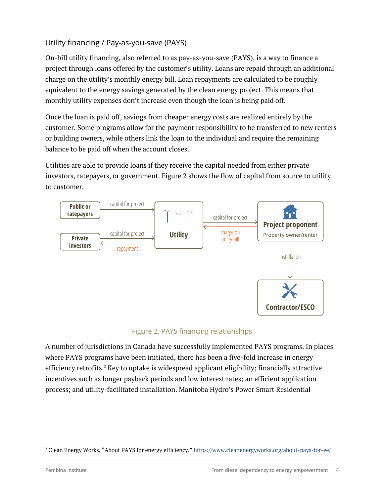#### Utility financing / Pay-as-you-save (PAYS)

On-bill utility financing, also referred to as pay-as-you-save (PAYS), is a way to finance a project through loans offered by the customer's utility. Loans are repaid through an additional charge on the utility's monthly energy bill. Loan repayments are calculated to be roughly equivalent to the energy savings generated by the clean energy project. This means that monthly utility expenses don't increase even though the loan is being paid off.

Once the loan is paid off, savings from cheaper energy costs are realized entirely by the customer. Some programs allow for the payment responsibility to be transferred to new renters or building owners, while others link the loan to the individual and require the remaining balance to be paid off when the account closes.

Utilities are able to provide loans if they receive the capital needed from either private investors, ratepayers, or government. Figure 2 shows the flow of capital from source to utility to customer.



#### Figure 2. PAYS financing relationships

A number of jurisdictions in Canada have successfully implemented PAYS programs. In places where PAYS programs have been initiated, there has been a five-fold increase in energy efficiency retrofits.<sup>2</sup> Key to uptake is widespread applicant eligibility; financially attractive incentives such as longer payback periods and low interest rates; an efficient application process; and utility-facilitated installation. Manitoba Hydro's Power Smart Residential

<sup>2</sup> Clean Energy Works, "About PAYS for energy efficiency." https://www.cleanenergyworks.org/about-pays-for-ee/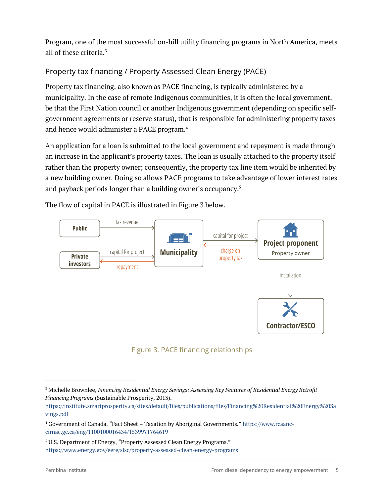Program, one of the most successful on-bill utility financing programs in North America, meets all of these criteria.3

#### Property tax financing / Property Assessed Clean Energy (PACE)

Property tax financing, also known as PACE financing, is typically administered by a municipality. In the case of remote Indigenous communities, it is often the local government, be that the First Nation council or another Indigenous government (depending on specific selfgovernment agreements or reserve status), that is responsible for administering property taxes and hence would administer a PACE program.4

An application for a loan is submitted to the local government and repayment is made through an increase in the applicant's property taxes. The loan is usually attached to the property itself rather than the property owner; consequently, the property tax line item would be inherited by a new building owner. Doing so allows PACE programs to take advantage of lower interest rates and payback periods longer than a building owner's occupancy.<sup>5</sup>

The flow of capital in PACE is illustrated in Figure 3 below.



Figure 3. PACE financing relationships

<sup>5</sup> U.S. Department of Energy, "Property Assessed Clean Energy Programs." https://www.energy.gov/eere/slsc/property-assessed-clean-energy-programs

<sup>3</sup> Michelle Brownlee, *Financing Residential Energy Savings: Assessing Key Features of Residential Energy Retrofit Financing Programs* (Sustainable Prosperity, 2013).

https://institute.smartprosperity.ca/sites/default/files/publications/files/Financing%20Residential%20Energy%20Sa vings.pdf

<sup>4</sup> Government of Canada, "Fact Sheet – Taxation by Aboriginal Governments." https://www.rcaanccirnac.gc.ca/eng/1100100016434/1539971764619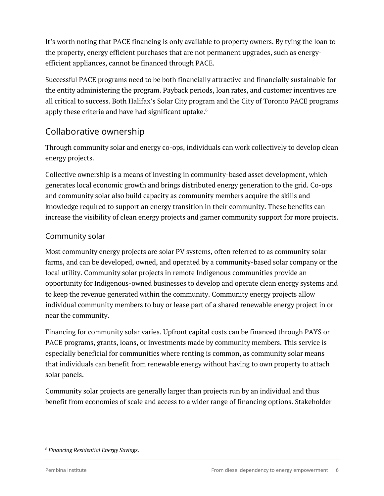It's worth noting that PACE financing is only available to property owners. By tying the loan to the property, energy efficient purchases that are not permanent upgrades, such as energyefficient appliances, cannot be financed through PACE.

Successful PACE programs need to be both financially attractive and financially sustainable for the entity administering the program. Payback periods, loan rates, and customer incentives are all critical to success. Both Halifax's Solar City program and the City of Toronto PACE programs apply these criteria and have had significant uptake.<sup>6</sup>

#### Collaborative ownership

Through community solar and energy co-ops, individuals can work collectively to develop clean energy projects.

Collective ownership is a means of investing in community-based asset development, which generates local economic growth and brings distributed energy generation to the grid. Co-ops and community solar also build capacity as community members acquire the skills and knowledge required to support an energy transition in their community. These benefits can increase the visibility of clean energy projects and garner community support for more projects.

#### Community solar

Most community energy projects are solar PV systems, often referred to as community solar farms, and can be developed, owned, and operated by a community-based solar company or the local utility. Community solar projects in remote Indigenous communities provide an opportunity for Indigenous-owned businesses to develop and operate clean energy systems and to keep the revenue generated within the community. Community energy projects allow individual community members to buy or lease part of a shared renewable energy project in or near the community.

Financing for community solar varies. Upfront capital costs can be financed through PAYS or PACE programs, grants, loans, or investments made by community members. This service is especially beneficial for communities where renting is common, as community solar means that individuals can benefit from renewable energy without having to own property to attach solar panels.

Community solar projects are generally larger than projects run by an individual and thus benefit from economies of scale and access to a wider range of financing options. Stakeholder

<sup>6</sup> *Financing Residential Energy Savings.*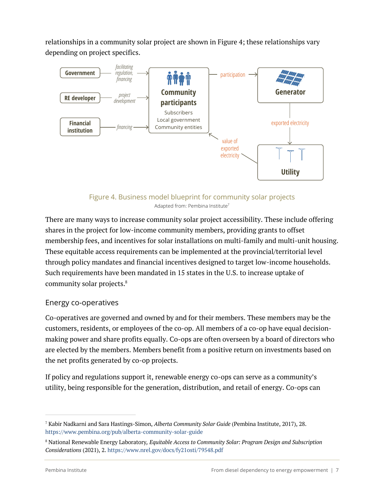relationships in a community solar project are shown in Figure 4; these relationships vary depending on project specifics.



Figure 4. Business model blueprint for community solar projects Adapted from: Pembina Institute<sup>7</sup>

There are many ways to increase community solar project accessibility. These include offering shares in the project for low-income community members, providing grants to offset membership fees, and incentives for solar installations on multi-family and multi-unit housing. These equitable access requirements can be implemented at the provincial/territorial level through policy mandates and financial incentives designed to target low-income households. Such requirements have been mandated in 15 states in the U.S. to increase uptake of community solar projects.<sup>8</sup>

#### Energy co-operatives

Co-operatives are governed and owned by and for their members. These members may be the customers, residents, or employees of the co-op. All members of a co-op have equal decisionmaking power and share profits equally. Co-ops are often overseen by a board of directors who are elected by the members. Members benefit from a positive return on investments based on the net profits generated by co-op projects.

If policy and regulations support it, renewable energy co-ops can serve as a community's utility, being responsible for the generation, distribution, and retail of energy. Co-ops can

<sup>7</sup> Kabir Nadkarni and Sara Hastings-Simon, *Alberta Community Solar Guide* (Pembina Institute, 2017), 28. https://www.pembina.org/pub/alberta-community-solar-guide

<sup>8</sup> National Renewable Energy Laboratory*, Equitable Access to Community Solar: Program Design and Subscription Considerations* (2021), 2. https://www.nrel.gov/docs/fy21osti/79548.pdf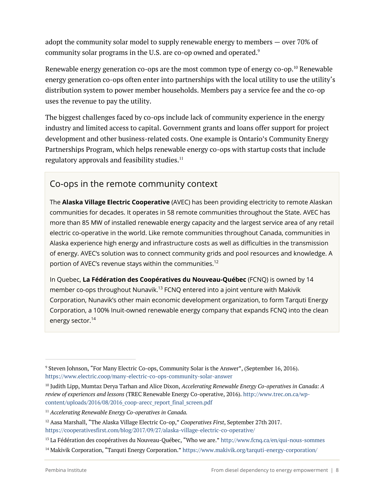adopt the community solar model to supply renewable energy to members — over 70% of community solar programs in the U.S. are co-op owned and operated.<sup>9</sup>

Renewable energy generation co-ops are the most common type of energy co-op.<sup>10</sup> Renewable energy generation co-ops often enter into partnerships with the local utility to use the utility's distribution system to power member households. Members pay a service fee and the co-op uses the revenue to pay the utility.

The biggest challenges faced by co-ops include lack of community experience in the energy industry and limited access to capital. Government grants and loans offer support for project development and other business-related costs. One example is Ontario's Community Energy Partnerships Program, which helps renewable energy co-ops with startup costs that include regulatory approvals and feasibility studies. $11$ 

#### Co-ops in the remote community context

The **Alaska Village Electric Cooperative** (AVEC) has been providing electricity to remote Alaskan communities for decades. It operates in 58 remote communities throughout the State. AVEC has more than 85 MW of installed renewable energy capacity and the largest service area of any retail electric co-operative in the world. Like remote communities throughout Canada, communities in Alaska experience high energy and infrastructure costs as well as difficulties in the transmission of energy. AVEC's solution was to connect community grids and pool resources and knowledge. A portion of AVEC's revenue stays within the communities.<sup>12</sup>

In Quebec, **La Fédération des Coopératives du Nouveau-Québec** (FCNQ) is owned by 14 member co-ops throughout Nunavik.<sup>13</sup> FCNQ entered into a joint venture with Makivik Corporation, Nunavik's other main economic development organization, to form Tarquti Energy Corporation, a 100% Inuit-owned renewable energy company that expands FCNQ into the clean energy sector.<sup>14</sup>

<sup>9</sup> Steven Johnson, "For Many Electric Co-ops, Community Solar is the Answer", (September 16, 2016). https://www.electric.coop/many-electric-co-ops-community-solar-answer

<sup>10</sup> Judith Lipp, Mumtaz Derya Tarhan and Alice Dixon, *Accelerating Renewable Energy Co‑operatives in Canada: A review of experiences and lessons* (TREC Renewable Energy Co‑operative, 2016). http://www.trec.on.ca/wpcontent/uploads/2016/08/2016\_coop-arecc\_report\_final\_screen.pdf

<sup>11</sup> *Accelerating Renewable Energy Co‑operatives in Canada.*

<sup>12</sup> Aasa Marshall, "The Alaska Village Electric Co-op," *Cooperatives First*, September 27th 2017. https://cooperativesfirst.com/blog/2017/09/27/alaska-village-electric-co-operative/

<sup>&</sup>lt;sup>13</sup> La Fédération des coopératives du Nouveau-Québec, "Who we are." http://www.fcnq.ca/en/qui-nous-sommes

<sup>14</sup> Makivik Corporation, "Tarquti Energy Corporation." https://www.makivik.org/tarquti-energy-corporation/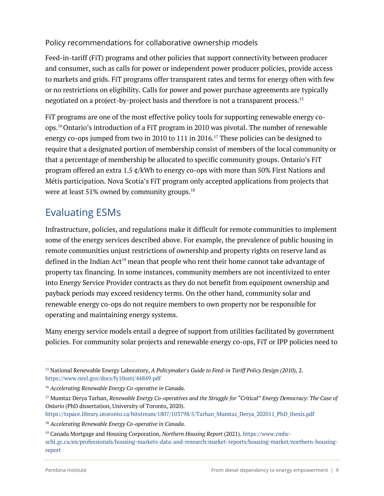#### Policy recommendations for collaborative ownership models

Feed-in-tariff (FiT) programs and other policies that support connectivity between producer and consumer, such as calls for power or independent power producer policies, provide access to markets and grids. FiT programs offer transparent rates and terms for energy often with few or no restrictions on eligibility. Calls for power and power purchase agreements are typically negotiated on a project-by-project basis and therefore is not a transparent process.15

FiT programs are one of the most effective policy tools for supporting renewable energy coops.16Ontario's introduction of a FiT program in 2010 was pivotal. The number of renewable energy co-ops jumped from two in 2010 to 111 in 2016.<sup>17</sup> These policies can be designed to require that a designated portion of membership consist of members of the local community or that a percentage of membership be allocated to specific community groups. Ontario's FiT program offered an extra 1.5 ¢/kWh to energy co-ops with more than 50% First Nations and Métis participation. Nova Scotia's FiT program only accepted applications from projects that were at least 51% owned by community groups.<sup>18</sup>

# Evaluating ESMs

Infrastructure, policies, and regulations make it difficult for remote communities to implement some of the energy services described above. For example, the prevalence of public housing in remote communities unjust restrictions of ownership and property rights on reserve land as defined in the Indian Act<sup>19</sup> mean that people who rent their home cannot take advantage of property tax financing. In some instances, community members are not incentivized to enter into Energy Service Provider contracts as they do not benefit from equipment ownership and payback periods may exceed residency terms. On the other hand, community solar and renewable energy co-ops do not require members to own property nor be responsible for operating and maintaining energy systems.

Many energy service models entail a degree of support from utilities facilitated by government policies. For community solar projects and renewable energy co-ops, FiT or IPP policies need to

<sup>15</sup> National Renewable Energy Laboratory, *A Policymaker's Guide to Feed-in Tariff Policy Design (2010),* 2. https://www.nrel.gov/docs/fy10osti/44849.pdf

<sup>16</sup> *Accelerating Renewable Energy Co‑operative in Canada.*

<sup>17</sup> Mumtaz Derya Tarhan, *Renewable Energy Co-operatives and the Struggle for "Critical" Energy Democracy: The Case of Ontario* (PhD dissertation, University of Toronto, 2020).

https://tspace.library.utoronto.ca/bitstream/1807/103798/5/Tarhan\_Mumtaz\_Derya\_202011\_PhD\_thesis.pdf

<sup>18</sup> *Accelerating Renewable Energy Co‑operative in Canada.*

<sup>19</sup> Canada Mortgage and Housing Corporation, *Northern Housing Report* (2021). https://www.cmhcschl.gc.ca/en/professionals/housing-markets-data-and-research/market-reports/housing-market/northern-housingreport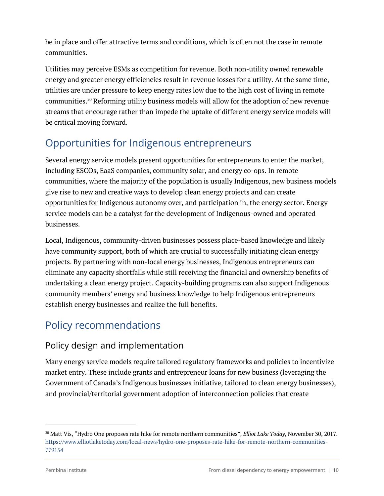be in place and offer attractive terms and conditions, which is often not the case in remote communities.

Utilities may perceive ESMs as competition for revenue. Both non-utility owned renewable energy and greater energy efficiencies result in revenue losses for a utility. At the same time, utilities are under pressure to keep energy rates low due to the high cost of living in remote communities.20 Reforming utility business models will allow for the adoption of new revenue streams that encourage rather than impede the uptake of different energy service models will be critical moving forward.

# Opportunities for Indigenous entrepreneurs

Several energy service models present opportunities for entrepreneurs to enter the market, including ESCOs, EaaS companies, community solar, and energy co-ops. In remote communities, where the majority of the population is usually Indigenous, new business models give rise to new and creative ways to develop clean energy projects and can create opportunities for Indigenous autonomy over, and participation in, the energy sector. Energy service models can be a catalyst for the development of Indigenous-owned and operated businesses.

Local, Indigenous, community-driven businesses possess place-based knowledge and likely have community support, both of which are crucial to successfully initiating clean energy projects. By partnering with non-local energy businesses, Indigenous entrepreneurs can eliminate any capacity shortfalls while still receiving the financial and ownership benefits of undertaking a clean energy project. Capacity-building programs can also support Indigenous community members' energy and business knowledge to help Indigenous entrepreneurs establish energy businesses and realize the full benefits.

# Policy recommendations

#### Policy design and implementation

Many energy service models require tailored regulatory frameworks and policies to incentivize market entry. These include grants and entrepreneur loans for new business (leveraging the Government of Canada's Indigenous businesses initiative, tailored to clean energy businesses), and provincial/territorial government adoption of interconnection policies that create

<sup>20</sup> Matt Vis, "Hydro One proposes rate hike for remote northern communities", *Elliot Lake Today*, November 30, 2017. https://www.elliotlaketoday.com/local-news/hydro-one-proposes-rate-hike-for-remote-northern-communities-779154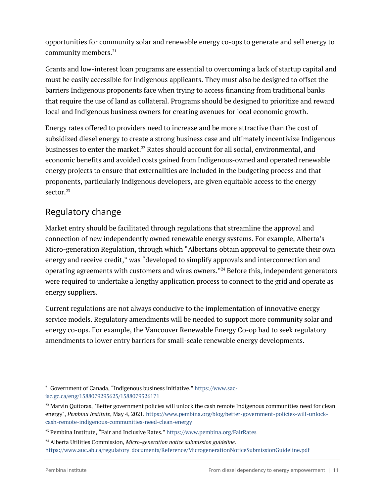opportunities for community solar and renewable energy co-ops to generate and sell energy to community members.<sup>21</sup>

Grants and low-interest loan programs are essential to overcoming a lack of startup capital and must be easily accessible for Indigenous applicants. They must also be designed to offset the barriers Indigenous proponents face when trying to access financing from traditional banks that require the use of land as collateral. Programs should be designed to prioritize and reward local and Indigenous business owners for creating avenues for local economic growth.

Energy rates offered to providers need to increase and be more attractive than the cost of subsidized diesel energy to create a strong business case and ultimately incentivize Indigenous businesses to enter the market.<sup>22</sup> Rates should account for all social, environmental, and economic benefits and avoided costs gained from Indigenous-owned and operated renewable energy projects to ensure that externalities are included in the budgeting process and that proponents, particularly Indigenous developers, are given equitable access to the energy sector.<sup>23</sup>

#### Regulatory change

Market entry should be facilitated through regulations that streamline the approval and connection of new independently owned renewable energy systems. For example, Alberta's Micro-generation Regulation, through which "Albertans obtain approval to generate their own energy and receive credit," was "developed to simplify approvals and interconnection and operating agreements with customers and wires owners."24 Before this, independent generators were required to undertake a lengthy application process to connect to the grid and operate as energy suppliers.

Current regulations are not always conducive to the implementation of innovative energy service models. Regulatory amendments will be needed to support more community solar and energy co-ops. For example, the Vancouver Renewable Energy Co-op had to seek regulatory amendments to lower entry barriers for small-scale renewable energy developments.

<sup>&</sup>lt;sup>21</sup> Government of Canada, "Indigenous business initiative." https://www.sacisc.gc.ca/eng/1588079295625/1588079326171

 $22$  Marvin Quitoras, "Better government policies will unlock the cash remote Indigenous communities need for clean energy", *Pembina Institute*, May 4, 2021. https://www.pembina.org/blog/better-government-policies-will-unlockcash-remote-indigenous-communities-need-clean-energy

<sup>23</sup> Pembina Institute, "Fair and Inclusive Rates." https://www.pembina.org/FairRates

<sup>24</sup> Alberta Utilities Commission, *Micro-generation notice submission guideline.* https://www.auc.ab.ca/regulatory\_documents/Reference/MicrogenerationNoticeSubmissionGuideline.pdf